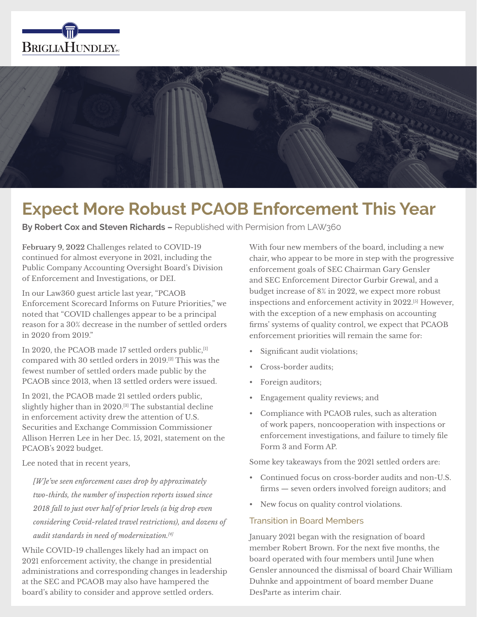



# **Expect More Robust PCAOB Enforcement This Year**

**By Robert Cox and Steven Richards –** Republished with Permision from LAW360

**February 9, 2022** Challenges related to COVID-19 continued for almost everyone in 2021, including the Public Company Accounting Oversight Board's Division of Enforcement and Investigations, or DEI.

In our Law360 guest article last year, "PCAOB Enforcement Scorecard Informs on Future Priorities," we noted that "COVID challenges appear to be a principal reason for a 30% decrease in the number of settled orders in 2020 from 2019."

In 2020, the PCAOB made 17 settled orders public,[1] compared with 30 settled orders in 2019.[2] This was the fewest number of settled orders made public by the PCAOB since 2013, when 13 settled orders were issued.

In 2021, the PCAOB made 21 settled orders public, slightly higher than in 2020.<sup>[3]</sup> The substantial decline in enforcement activity drew the attention of U.S. Securities and Exchange Commission Commissioner Allison Herren Lee in her Dec. 15, 2021, statement on the PCAOB's 2022 budget.

Lee noted that in recent years,

*[W]e've seen enforcement cases drop by approximately two-thirds, the number of inspection reports issued since 2018 fall to just over half of prior levels (a big drop even considering Covid-related travel restrictions), and dozens of audit standards in need of modernization.[4]*

While COVID-19 challenges likely had an impact on 2021 enforcement activity, the change in presidential administrations and corresponding changes in leadership at the SEC and PCAOB may also have hampered the board's ability to consider and approve settled orders.

With four new members of the board, including a new chair, who appear to be more in step with the progressive enforcement goals of SEC Chairman Gary Gensler and SEC Enforcement Director Gurbir Grewal, and a budget increase of 8% in 2022, we expect more robust inspections and enforcement activity in 2022.[5] However, with the exception of a new emphasis on accounting firms' systems of quality control, we expect that PCAOB enforcement priorities will remain the same for:

- Significant audit violations;
- Cross-border audits;
- Foreign auditors;
- Engagement quality reviews; and
- Compliance with PCAOB rules, such as alteration of work papers, noncooperation with inspections or enforcement investigations, and failure to timely file Form 3 and Form AP.

Some key takeaways from the 2021 settled orders are:

- Continued focus on cross-border audits and non-U.S. firms — seven orders involved foreign auditors; and
- New focus on quality control violations.

# Transition in Board Members

January 2021 began with the resignation of board member Robert Brown. For the next five months, the board operated with four members until June when Gensler announced the dismissal of board Chair William Duhnke and appointment of board member Duane DesParte as interim chair.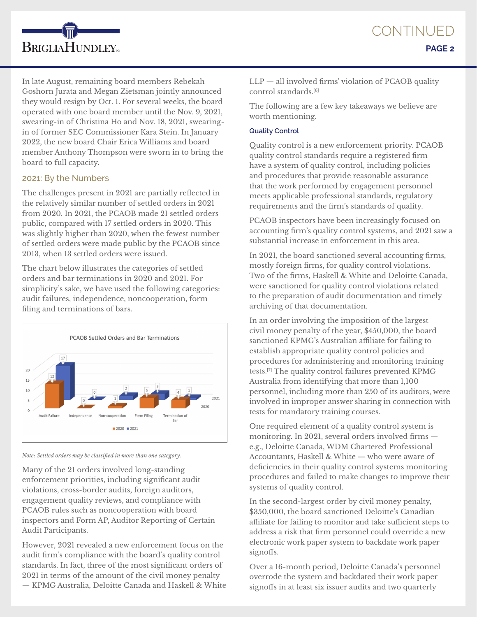

In late August, remaining board members Rebekah Goshorn Jurata and Megan Zietsman jointly announced they would resign by Oct. 1. For several weeks, the board operated with one board member until the Nov. 9, 2021, swearing-in of Christina Ho and Nov. 18, 2021, swearingin of former SEC Commissioner Kara Stein. In January 2022, the new board Chair Erica Williams and board member Anthony Thompson were sworn in to bring the board to full capacity.

## 2021: By the Numbers

The challenges present in 2021 are partially reflected in the relatively similar number of settled orders in 2021 from 2020. In 2021, the PCAOB made 21 settled orders public, compared with 17 settled orders in 2020. This was slightly higher than 2020, when the fewest number of settled orders were made public by the PCAOB since 2013, when 13 settled orders were issued.

The chart below illustrates the categories of settled orders and bar terminations in 2020 and 2021. For simplicity's sake, we have used the following categories: audit failures, independence, noncooperation, form filing and terminations of bars.



*Note: Settled orders may be classified in more than one category.* 

Many of the 21 orders involved long-standing enforcement priorities, including significant audit violations, cross-border audits, foreign auditors, engagement quality reviews, and compliance with PCAOB rules such as noncooperation with board inspectors and Form AP, Auditor Reporting of Certain Audit Participants.

However, 2021 revealed a new enforcement focus on the audit firm's compliance with the board's quality control standards. In fact, three of the most significant orders of 2021 in terms of the amount of the civil money penalty — KPMG Australia, Deloitte Canada and Haskell & White LLP — all involved firms' violation of PCAOB quality control standards.[6]

The following are a few key takeaways we believe are worth mentioning.

# **Quality Control**

Quality control is a new enforcement priority. PCAOB quality control standards require a registered firm have a system of quality control, including policies and procedures that provide reasonable assurance that the work performed by engagement personnel meets applicable professional standards, regulatory requirements and the firm's standards of quality.

PCAOB inspectors have been increasingly focused on accounting firm's quality control systems, and 2021 saw a substantial increase in enforcement in this area.

In 2021, the board sanctioned several accounting firms, mostly foreign firms, for quality control violations. Two of the firms, Haskell & White and Deloitte Canada, were sanctioned for quality control violations related to the preparation of audit documentation and timely archiving of that documentation.

In an order involving the imposition of the largest civil money penalty of the year, \$450,000, the board sanctioned KPMG's Australian affiliate for failing to establish appropriate quality control policies and procedures for administering and monitoring training tests.[7] The quality control failures prevented KPMG Australia from identifying that more than 1,100 personnel, including more than 250 of its auditors, were involved in improper answer sharing in connection with tests for mandatory training courses.

One required element of a quality control system is monitoring. In 2021, several orders involved firms e.g., Deloitte Canada, WDM Chartered Professional Accountants, Haskell & White — who were aware of deficiencies in their quality control systems monitoring procedures and failed to make changes to improve their systems of quality control.

In the second-largest order by civil money penalty, \$350,000, the board sanctioned Deloitte's Canadian affiliate for failing to monitor and take sufficient steps to address a risk that firm personnel could override a new electronic work paper system to backdate work paper signoffs.

Over a 16-month period, Deloitte Canada's personnel overrode the system and backdated their work paper signoffs in at least six issuer audits and two quarterly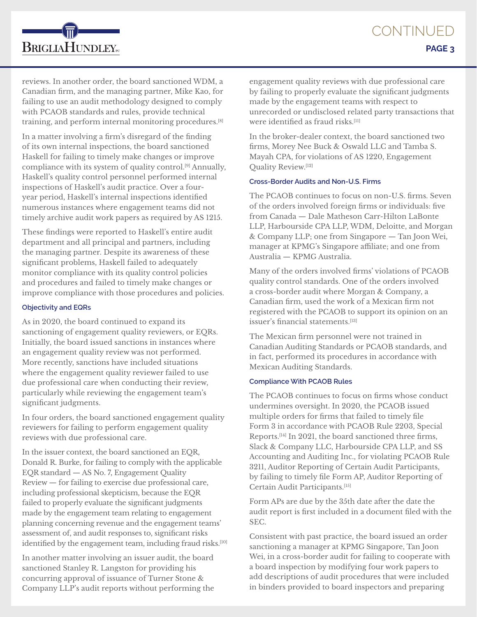

reviews. In another order, the board sanctioned WDM, a Canadian firm, and the managing partner, Mike Kao, for failing to use an audit methodology designed to comply with PCAOB standards and rules, provide technical training, and perform internal monitoring procedures.[8]

In a matter involving a firm's disregard of the finding of its own internal inspections, the board sanctioned Haskell for failing to timely make changes or improve compliance with its system of quality control.[9] Annually, Haskell's quality control personnel performed internal inspections of Haskell's audit practice. Over a fouryear period, Haskell's internal inspections identified numerous instances where engagement teams did not timely archive audit work papers as required by AS 1215.

These findings were reported to Haskell's entire audit department and all principal and partners, including the managing partner. Despite its awareness of these significant problems, Haskell failed to adequately monitor compliance with its quality control policies and procedures and failed to timely make changes or improve compliance with those procedures and policies.

#### **Objectivity and EQRs**

As in 2020, the board continued to expand its sanctioning of engagement quality reviewers, or EQRs. Initially, the board issued sanctions in instances where an engagement quality review was not performed. More recently, sanctions have included situations where the engagement quality reviewer failed to use due professional care when conducting their review, particularly while reviewing the engagement team's significant judgments.

In four orders, the board sanctioned engagement quality reviewers for failing to perform engagement quality reviews with due professional care.

In the issuer context, the board sanctioned an EQR, Donald R. Burke, for failing to comply with the applicable EQR standard — AS No. 7, Engagement Quality Review — for failing to exercise due professional care, including professional skepticism, because the EQR failed to properly evaluate the significant judgments made by the engagement team relating to engagement planning concerning revenue and the engagement teams' assessment of, and audit responses to, significant risks identified by the engagement team, including fraud risks.<sup>[10]</sup>

In another matter involving an issuer audit, the board sanctioned Stanley R. Langston for providing his concurring approval of issuance of Turner Stone & Company LLP's audit reports without performing the engagement quality reviews with due professional care by failing to properly evaluate the significant judgments made by the engagement teams with respect to unrecorded or undisclosed related party transactions that were identified as fraud risks.[11]

In the broker-dealer context, the board sanctioned two firms, Morey Nee Buck & Oswald LLC and Tamba S. Mayah CPA, for violations of AS 1220, Engagement Quality Review.[12]

### **Cross-Border Audits and Non-U.S. Firms**

The PCAOB continues to focus on non-U.S. firms. Seven of the orders involved foreign firms or individuals: five from Canada — Dale Matheson Carr-Hilton LaBonte LLP, Harbourside CPA LLP, WDM, Deloitte, and Morgan & Company LLP; one from Singapore — Tan Joon Wei, manager at KPMG's Singapore affiliate; and one from Australia — KPMG Australia.

Many of the orders involved firms' violations of PCAOB quality control standards. One of the orders involved a cross-border audit where Morgan & Company, a Canadian firm, used the work of a Mexican firm not registered with the PCAOB to support its opinion on an issuer's financial statements.[13]

The Mexican firm personnel were not trained in Canadian Auditing Standards or PCAOB standards, and in fact, performed its procedures in accordance with Mexican Auditing Standards.

## **Compliance With PCAOB Rules**

The PCAOB continues to focus on firms whose conduct undermines oversight. In 2020, the PCAOB issued multiple orders for firms that failed to timely file Form 3 in accordance with PCAOB Rule 2203, Special Reports.[14] In 2021, the board sanctioned three firms, Slack & Company LLC, Harbourside CPA LLP, and SS Accounting and Auditing Inc., for violating PCAOB Rule 3211, Auditor Reporting of Certain Audit Participants, by failing to timely file Form AP, Auditor Reporting of Certain Audit Participants.[15]

Form APs are due by the 35th date after the date the audit report is first included in a document filed with the SEC.

Consistent with past practice, the board issued an order sanctioning a manager at KPMG Singapore, Tan Joon Wei, in a cross-border audit for failing to cooperate with a board inspection by modifying four work papers to add descriptions of audit procedures that were included in binders provided to board inspectors and preparing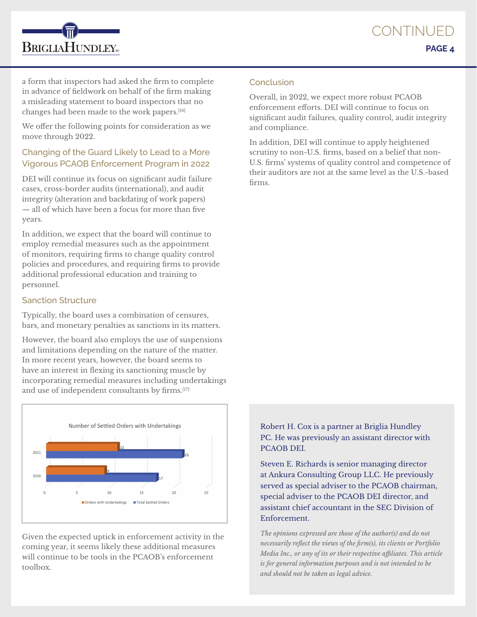a form that inspectors had asked the firm to complete in advance of fieldwork on behalf of the firm making a misleading statement to board inspectors that no changes had been made to the work papers.[16]

**BRIGLIAHUNDLEY**<sub>EC</sub>

We offer the following points for consideration as we move through 2022.

# Changing of the Guard Likely to Lead to a More Vigorous PCAOB Enforcement Program in 2022

DEI will continue its focus on significant audit failure cases, cross-border audits (international), and audit integrity (alteration and backdating of work papers) — all of which have been a focus for more than five years.

In addition, we expect that the board will continue to employ remedial measures such as the appointment of monitors, requiring firms to change quality control policies and procedures, and requiring firms to provide additional professional education and training to personnel.

# Sanction Structure

Typically, the board uses a combination of censures, bars, and monetary penalties as sanctions in its matters.

However, the board also employs the use of suspensions and limitations depending on the nature of the matter. In more recent years, however, the board seems to have an interest in flexing its sanctioning muscle by incorporating remedial measures including undertakings and use of independent consultants by firms.[17]



Given the expected uptick in enforcement activity in the coming year, it seems likely these additional measures will continue to be tools in the PCAOB's enforcement toolbox.

## Conclusion

Overall, in 2022, we expect more robust PCAOB enforcement efforts. DEI will continue to focus on significant audit failures, quality control, audit integrity and compliance.

In addition, DEI will continue to apply heightened scrutiny to non-U.S. firms, based on a belief that non-U.S. firms' systems of quality control and competence of their auditors are not at the same level as the U.S.-based firms.

Robert H. Cox is a partner at Briglia Hundley PC. He was previously an assistant director with PCAOB DEI.

Steven E. Richards is senior managing director at Ankura Consulting Group LLC. He previously served as special adviser to the PCAOB chairman, special adviser to the PCAOB DEI director, and assistant chief accountant in the SEC Division of Enforcement.

*The opinions expressed are those of the author(s) and do not necessarily reflect the views of the firm(s), its clients or Portfolio Media Inc., or any of its or their respective affiliates. This article is for general information purposes and is not intended to be and should not be taken as legal advice.*